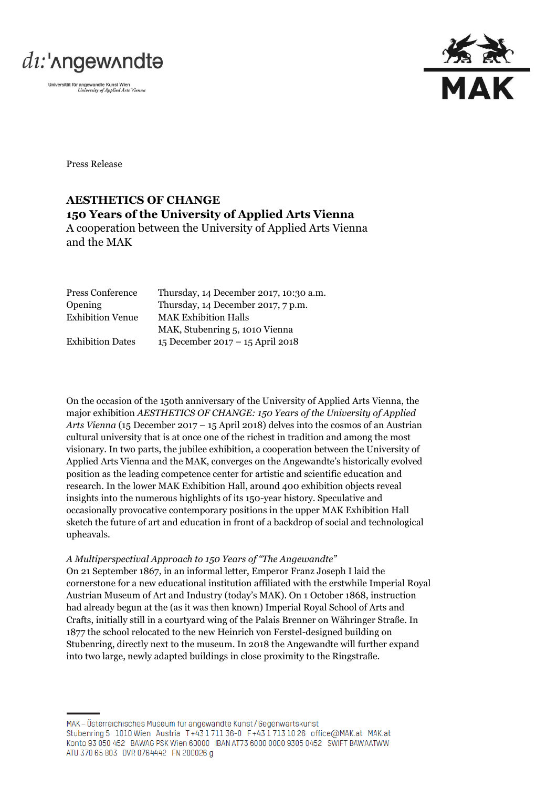



Press Release

# **AESTHETICS OF CHANGE 150 Years of the University of Applied Arts Vienna** A cooperation between the University of Applied Arts Vienna and the MAK

| Press Conference        | Thursday, 14 December 2017, 10:30 a.m. |
|-------------------------|----------------------------------------|
| Opening                 | Thursday, 14 December 2017, 7 p.m.     |
| <b>Exhibition Venue</b> | <b>MAK Exhibition Halls</b>            |
|                         | MAK, Stubenring 5, 1010 Vienna         |
| <b>Exhibition Dates</b> | 15 December 2017 – 15 April 2018       |

On the occasion of the 150th anniversary of the University of Applied Arts Vienna, the major exhibition *AESTHETICS OF CHANGE: 150 Years of the University of Applied Arts Vienna* (15 December 2017 – 15 April 2018) delves into the cosmos of an Austrian cultural university that is at once one of the richest in tradition and among the most visionary. In two parts, the jubilee exhibition, a cooperation between the University of Applied Arts Vienna and the MAK, converges on the Angewandte's historically evolved position as the leading competence center for artistic and scientific education and research. In the lower MAK Exhibition Hall, around 400 exhibition objects reveal insights into the numerous highlights of its 150-year history. Speculative and occasionally provocative contemporary positions in the upper MAK Exhibition Hall sketch the future of art and education in front of a backdrop of social and technological upheavals.

#### *A Multiperspectival Approach to 150 Years of "The Angewandte"*

On 21 September 1867, in an informal letter, Emperor Franz Joseph I laid the cornerstone for a new educational institution affiliated with the erstwhile Imperial Royal Austrian Museum of Art and Industry (today's MAK). On 1 October 1868, instruction had already begun at the (as it was then known) Imperial Royal School of Arts and Crafts, initially still in a courtyard wing of the Palais Brenner on Währinger Straße. In 1877 the school relocated to the new Heinrich von Ferstel-designed building on Stubenring, directly next to the museum. In 2018 the Angewandte will further expand into two large, newly adapted buildings in close proximity to the Ringstraße.

MAK - Österreichisches Museum für angewandte Kunst/Gegenwartskunst Stubenring 5 1010 Wien Austria T+43 1711 36-0 F+43 1713 10 26 office@MAK.at MAK.at Konto 93 050 452 BAWAG PSK Wien 60000 IBAN AT73 6000 0000 9305 0452 SWIFT BAWAATWW ATU 370 65 803 DVR 0764442 FN 200026 g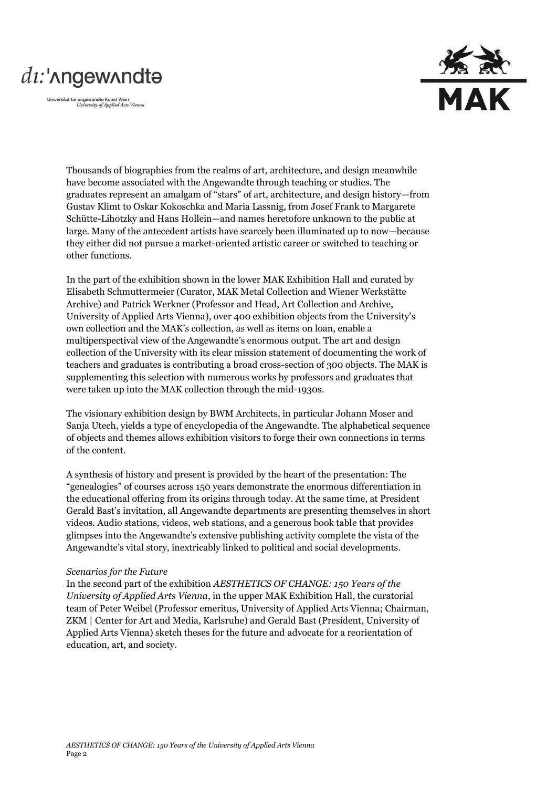# di:'nngewnndta

Universität für angewandte Kunst Wien<br>University of Applied Arts Vienna



Thousands of biographies from the realms of art, architecture, and design meanwhile have become associated with the Angewandte through teaching or studies. The graduates represent an amalgam of "stars" of art, architecture, and design history—from Gustav Klimt to Oskar Kokoschka and Maria Lassnig, from Josef Frank to Margarete Schütte-Lihotzky and Hans Hollein—and names heretofore unknown to the public at large. Many of the antecedent artists have scarcely been illuminated up to now—because they either did not pursue a market-oriented artistic career or switched to teaching or other functions.

In the part of the exhibition shown in the lower MAK Exhibition Hall and curated by Elisabeth Schmuttermeier (Curator, MAK Metal Collection and Wiener Werkstätte Archive) and Patrick Werkner (Professor and Head, Art Collection and Archive, University of Applied Arts Vienna), over 400 exhibition objects from the University's own collection and the MAK's collection, as well as items on loan, enable a multiperspectival view of the Angewandte's enormous output. The art and design collection of the University with its clear mission statement of documenting the work of teachers and graduates is contributing a broad cross-section of 300 objects. The MAK is supplementing this selection with numerous works by professors and graduates that were taken up into the MAK collection through the mid-1930s.

The visionary exhibition design by BWM Architects, in particular Johann Moser and Sanja Utech, yields a type of encyclopedia of the Angewandte. The alphabetical sequence of objects and themes allows exhibition visitors to forge their own connections in terms of the content.

A synthesis of history and present is provided by the heart of the presentation: The "genealogies" of courses across 150 years demonstrate the enormous differentiation in the educational offering from its origins through today. At the same time, at President Gerald Bast's invitation, all Angewandte departments are presenting themselves in short videos. Audio stations, videos, web stations, and a generous book table that provides glimpses into the Angewandte's extensive publishing activity complete the vista of the Angewandte's vital story, inextricably linked to political and social developments.

#### *Scenarios for the Future*

In the second part of the exhibition *AESTHETICS OF CHANGE: 150 Years of the University of Applied Arts Vienna*, in the upper MAK Exhibition Hall, the curatorial team of Peter Weibel (Professor emeritus, University of Applied Arts Vienna; Chairman, ZKM | Center for Art and Media, Karlsruhe) and Gerald Bast (President, University of Applied Arts Vienna) sketch theses for the future and advocate for a reorientation of education, art, and society.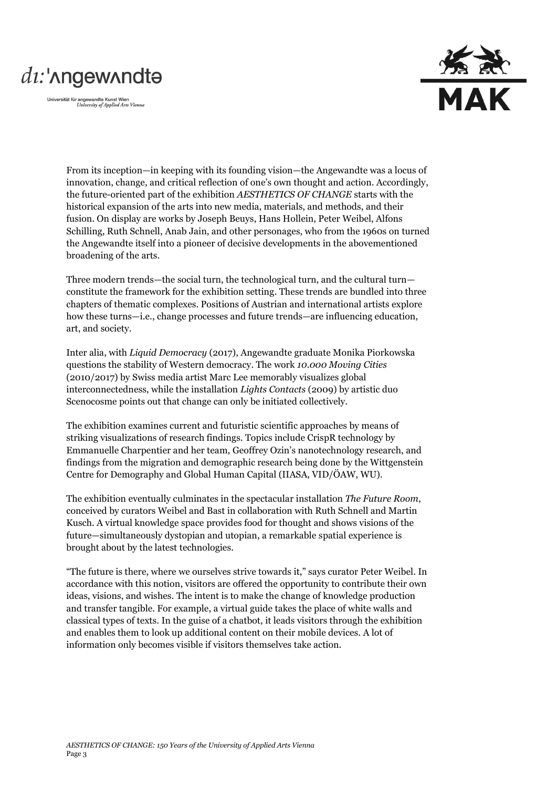# di:'nngewnndta

Universität für angewandte Kunst Wien<br>University of Applied Arts Vienna



From its inception—in keeping with its founding vision—the Angewandte was a locus of innovation, change, and critical reflection of one's own thought and action. Accordingly, the future-oriented part of the exhibition *AESTHETICS OF CHANGE* starts with the historical expansion of the arts into new media, materials, and methods, and their fusion. On display are works by Joseph Beuys, Hans Hollein, Peter Weibel, Alfons Schilling, Ruth Schnell, Anab Jain, and other personages, who from the 1960s on turned the Angewandte itself into a pioneer of decisive developments in the abovementioned broadening of the arts.

Three modern trends—the social turn, the technological turn, and the cultural turn constitute the framework for the exhibition setting. These trends are bundled into three chapters of thematic complexes. Positions of Austrian and international artists explore how these turns—i.e., change processes and future trends—are influencing education, art, and society.

Inter alia, with *Liquid Democracy* (2017), Angewandte graduate Monika Piorkowska questions the stability of Western democracy. The work *10.000 Moving Cities* (2010/2017) by Swiss media artist Marc Lee memorably visualizes global interconnectedness, while the installation *Lights Contacts* (2009) by artistic duo Scenocosme points out that change can only be initiated collectively.

The exhibition examines current and futuristic scientific approaches by means of striking visualizations of research findings. Topics include CrispR technology by Emmanuelle Charpentier and her team, Geoffrey Ozin's nanotechnology research, and findings from the migration and demographic research being done by the Wittgenstein Centre for Demography and Global Human Capital (IIASA, VID/ÖAW, WU).

The exhibition eventually culminates in the spectacular installation *The Future Room*, conceived by curators Weibel and Bast in collaboration with Ruth Schnell and Martin Kusch. A virtual knowledge space provides food for thought and shows visions of the future—simultaneously dystopian and utopian, a remarkable spatial experience is brought about by the latest technologies.

"The future is there, where we ourselves strive towards it," says curator Peter Weibel. In accordance with this notion, visitors are offered the opportunity to contribute their own ideas, visions, and wishes. The intent is to make the change of knowledge production and transfer tangible. For example, a virtual guide takes the place of white walls and classical types of texts. In the guise of a chatbot, it leads visitors through the exhibition and enables them to look up additional content on their mobile devices. A lot of information only becomes visible if visitors themselves take action.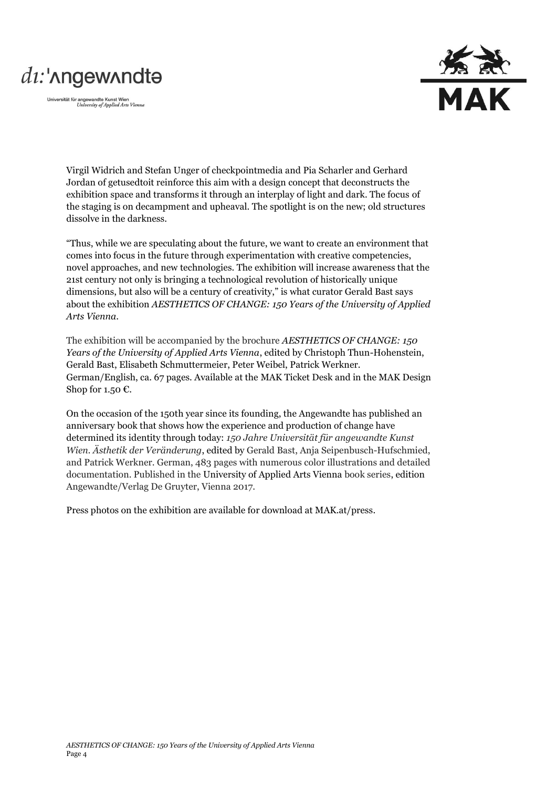# di:'nngewnndta

Universität für angewandte Kunst Wien<br>University of Applied Arts Vienna



Virgil Widrich and Stefan Unger of checkpointmedia and Pia Scharler and Gerhard Jordan of getusedtoit reinforce this aim with a design concept that deconstructs the exhibition space and transforms it through an interplay of light and dark. The focus of the staging is on decampment and upheaval. The spotlight is on the new; old structures dissolve in the darkness.

"Thus, while we are speculating about the future, we want to create an environment that comes into focus in the future through experimentation with creative competencies, novel approaches, and new technologies. The exhibition will increase awareness that the 21st century not only is bringing a technological revolution of historically unique dimensions, but also will be a century of creativity," is what curator Gerald Bast says about the exhibition *AESTHETICS OF CHANGE: 150 Years of the University of Applied Arts Vienna*.

The exhibition will be accompanied by the brochure *AESTHETICS OF CHANGE: 150 Years of the University of Applied Arts Vienna*, edited by Christoph Thun-Hohenstein, Gerald Bast, Elisabeth Schmuttermeier, Peter Weibel, Patrick Werkner. German/English, ca. 67 pages. Available at the MAK Ticket Desk and in the MAK Design Shop for 1.50  $\epsilon$ .

On the occasion of the 150th year since its founding, the Angewandte has published an anniversary book that shows how the experience and production of change have determined its identity through today: *150 Jahre Universität für angewandte Kunst Wien. Ästhetik der Veränderung*, edited by Gerald Bast, Anja Seipenbusch-Hufschmied, and Patrick Werkner. German, 483 pages with numerous color illustrations and detailed documentation. Published in the University of Applied Arts Vienna book series, edition Angewandte/Verlag De Gruyter, Vienna 2017.

Press photos on the exhibition are available for download at MAK.at/press.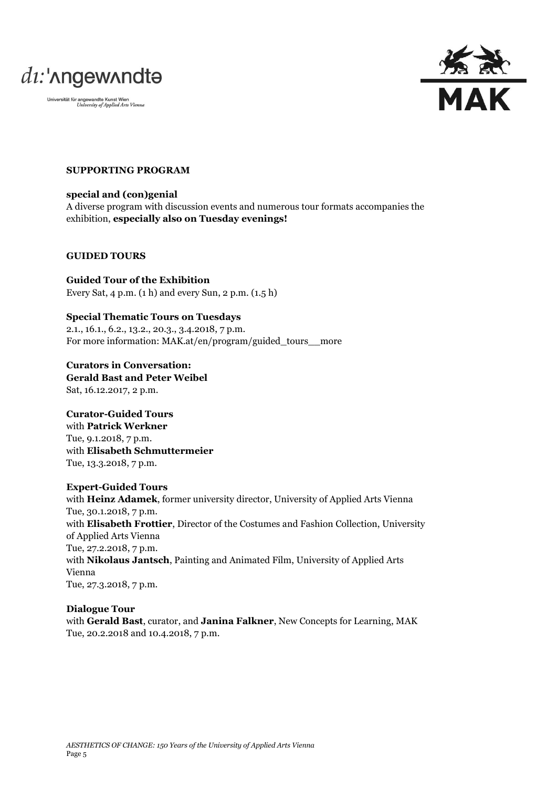



## **SUPPORTING PROGRAM**

**special and (con)genial** A diverse program with discussion events and numerous tour formats accompanies the exhibition, **especially also on Tuesday evenings!**

#### **GUIDED TOURS**

**Guided Tour of the Exhibition**  Every Sat, 4 p.m. (1 h) and every Sun, 2 p.m. (1.5 h)

## **Special Thematic Tours on Tuesdays**

2.1., 16.1., 6.2., 13.2., 20.3., 3.4.2018, 7 p.m. For more information: MAK.at/en/program/guided\_tours\_more

**Curators in Conversation: Gerald Bast and Peter Weibel** Sat, 16.12.2017, 2 p.m.

# **Curator-Guided Tours**

with **Patrick Werkner** Tue, 9.1.2018, 7 p.m. with **Elisabeth Schmuttermeier** Tue, 13.3.2018, 7 p.m.

#### **Expert-Guided Tours**

with **Heinz Adamek**, former university director, University of Applied Arts Vienna Tue, 30.1.2018, 7 p.m. with **Elisabeth Frottier**, Director of the Costumes and Fashion Collection, University of Applied Arts Vienna Tue, 27.2.2018, 7 p.m. with **Nikolaus Jantsch**, Painting and Animated Film, University of Applied Arts Vienna Tue, 27.3.2018, 7 p.m.

## **Dialogue Tour**

with **Gerald Bast**, curator, and **Janina Falkner**, New Concepts for Learning, MAK Tue, 20.2.2018 and 10.4.2018, 7 p.m.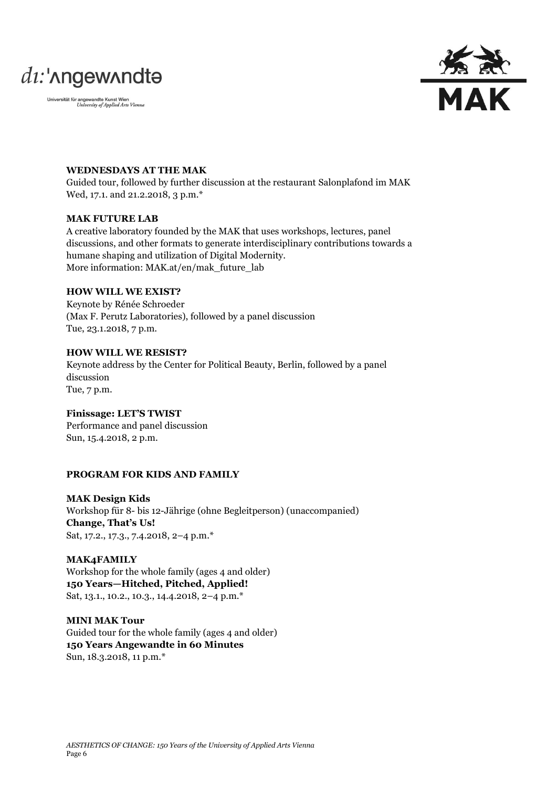



### **WEDNESDAYS AT THE MAK**

Guided tour, followed by further discussion at the restaurant Salonplafond im MAK Wed, 17.1. and 21.2.2018, 3 p.m.\*

#### **MAK FUTURE LAB**

A creative laboratory founded by the MAK that uses workshops, lectures, panel discussions, and other formats to generate interdisciplinary contributions towards a humane shaping and utilization of Digital Modernity. More information: MAK.at/en/mak\_future\_lab

## **HOW WILL WE EXIST?**

Keynote by Rénée Schroeder (Max F. Perutz Laboratories), followed by a panel discussion Tue, 23.1.2018, 7 p.m.

### **HOW WILL WE RESIST?**

Keynote address by the Center for Political Beauty, Berlin, followed by a panel discussion Tue, 7 p.m.

# **Finissage: LET'S TWIST**

Performance and panel discussion Sun, 15.4.2018, 2 p.m.

#### **PROGRAM FOR KIDS AND FAMILY**

**MAK Design Kids**  Workshop für 8- bis 12-Jährige (ohne Begleitperson) (unaccompanied) **Change, That's Us!** Sat, 17.2., 17.3., 7.4.2018, 2–4 p.m.\*

**MAK4FAMILY**  Workshop for the whole family (ages 4 and older) **150 Years—Hitched, Pitched, Applied!** Sat, 13.1., 10.2., 10.3., 14.4.2018, 2–4 p.m.\*

**MINI MAK Tour**  Guided tour for the whole family (ages 4 and older) **150 Years Angewandte in 60 Minutes** Sun, 18.3.2018, 11 p.m.\*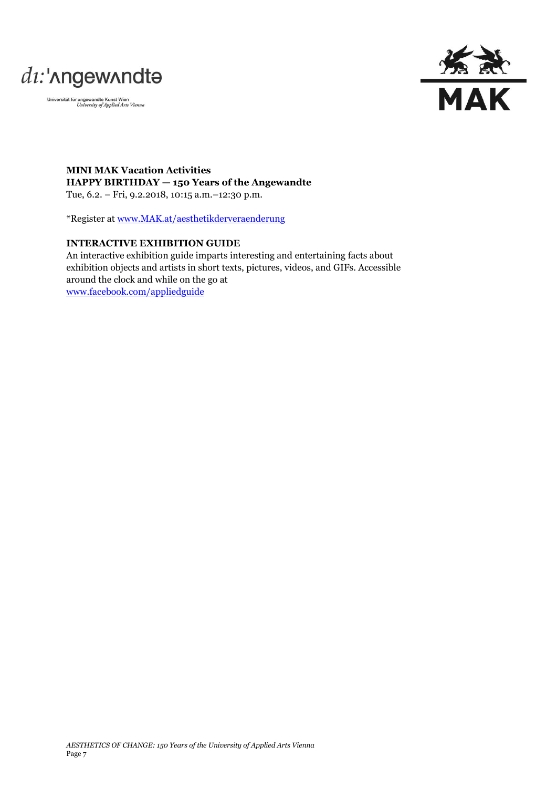



**MINI MAK Vacation Activities HAPPY BIRTHDAY — 150 Years of the Angewandte** Tue, 6.2. – Fri, 9.2.2018, 10:15 a.m.–12:30 p.m.

\*Register at [www.MAK.at/aesthetikderveraenderung](http://www.mak.at/aesthetikderveraenderung)

# **INTERACTIVE EXHIBITION GUIDE**

An interactive exhibition guide imparts interesting and entertaining facts about exhibition objects and artists in short texts, pictures, videos, and GIFs. Accessible around the clock and while on the go at [www.facebook.com/appliedguide](http://www.facebook.com/appliedguide)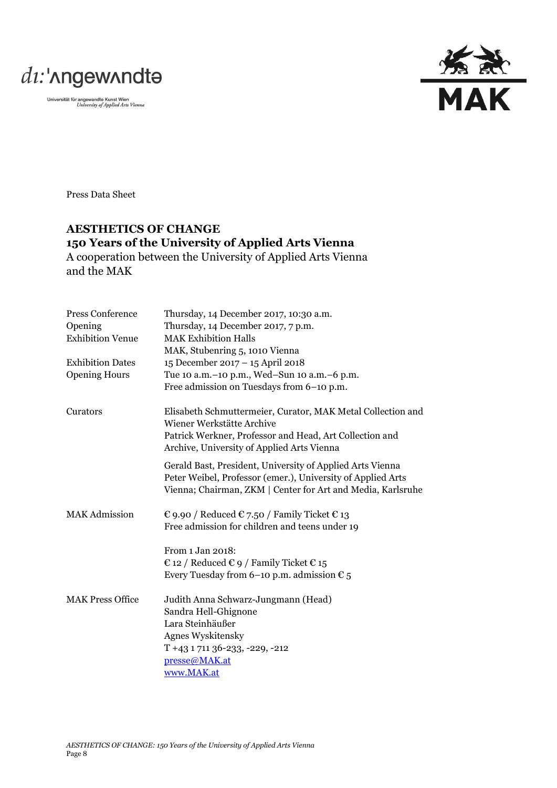



Press Data Sheet

# **AESTHETICS OF CHANGE 150 Years of the University of Applied Arts Vienna**

A cooperation between the University of Applied Arts Vienna and the MAK

| Press Conference        | Thursday, 14 December 2017, 10:30 a.m.                                                                                                                                                  |
|-------------------------|-----------------------------------------------------------------------------------------------------------------------------------------------------------------------------------------|
| Opening                 | Thursday, 14 December 2017, 7 p.m.                                                                                                                                                      |
| <b>Exhibition Venue</b> | <b>MAK Exhibition Halls</b>                                                                                                                                                             |
|                         | MAK, Stubenring 5, 1010 Vienna                                                                                                                                                          |
| <b>Exhibition Dates</b> | 15 December 2017 - 15 April 2018                                                                                                                                                        |
| <b>Opening Hours</b>    | Tue 10 a.m. - 10 p.m., Wed-Sun 10 a.m. - 6 p.m.                                                                                                                                         |
|                         | Free admission on Tuesdays from 6-10 p.m.                                                                                                                                               |
| Curators                | Elisabeth Schmuttermeier, Curator, MAK Metal Collection and<br>Wiener Werkstätte Archive                                                                                                |
|                         | Patrick Werkner, Professor and Head, Art Collection and<br>Archive, University of Applied Arts Vienna                                                                                   |
|                         | Gerald Bast, President, University of Applied Arts Vienna<br>Peter Weibel, Professor (emer.), University of Applied Arts<br>Vienna; Chairman, ZKM   Center for Art and Media, Karlsruhe |
| <b>MAK Admission</b>    | € 9.90 / Reduced € 7.50 / Family Ticket € 13<br>Free admission for children and teens under 19                                                                                          |
|                         | From 1 Jan 2018:                                                                                                                                                                        |
|                         | € 12 / Reduced € 9 / Family Ticket € 15                                                                                                                                                 |
|                         | Every Tuesday from 6-10 p.m. admission $\epsilon_5$                                                                                                                                     |
| <b>MAK Press Office</b> | Judith Anna Schwarz-Jungmann (Head)                                                                                                                                                     |
|                         | Sandra Hell-Ghignone                                                                                                                                                                    |
|                         | Lara Steinhäußer                                                                                                                                                                        |
|                         | <b>Agnes Wyskitensky</b>                                                                                                                                                                |
|                         | $T + 43171136 - 233, -229, -212$                                                                                                                                                        |
|                         | presse@MAK.at                                                                                                                                                                           |
|                         | www.MAK.at                                                                                                                                                                              |